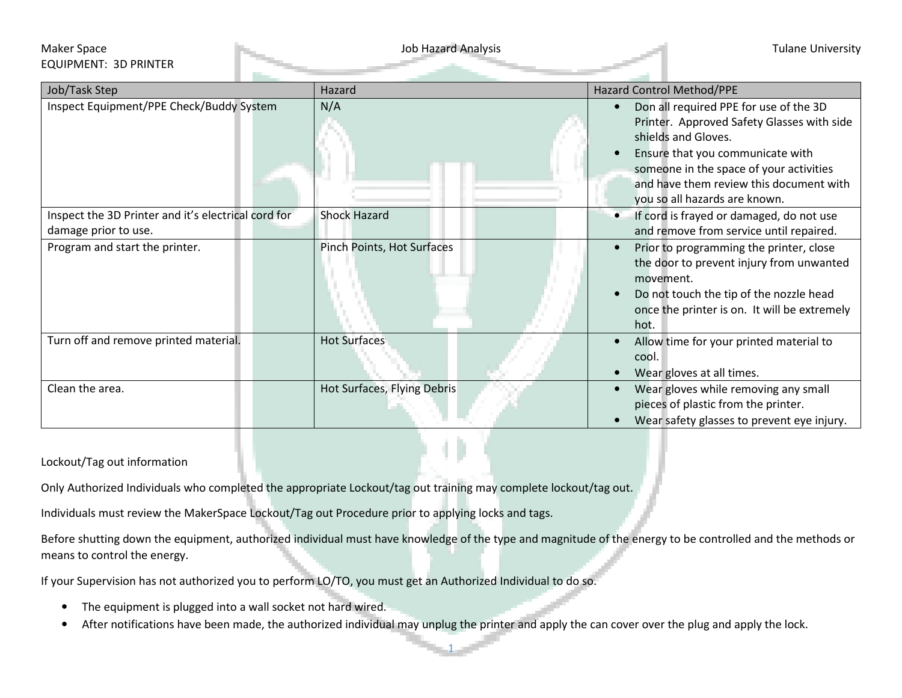## Maker Space **Tulane University** Job Hazard Analysis **Tulane University** Job Hazard Analysis EQUIPMENT: 3D PRINTER

| Job/Task Step                                       | Hazard                      | Hazard Control Method/PPE                                                                                                                                                                                                                                              |
|-----------------------------------------------------|-----------------------------|------------------------------------------------------------------------------------------------------------------------------------------------------------------------------------------------------------------------------------------------------------------------|
| Inspect Equipment/PPE Check/Buddy System            | N/A                         | Don all required PPE for use of the 3D<br>Printer. Approved Safety Glasses with side<br>shields and Gloves.<br>Ensure that you communicate with<br>someone in the space of your activities<br>and have them review this document with<br>you so all hazards are known. |
| Inspect the 3D Printer and it's electrical cord for | <b>Shock Hazard</b>         | If cord is frayed or damaged, do not use<br>$\bullet$                                                                                                                                                                                                                  |
| damage prior to use.                                |                             | and remove from service until repaired.                                                                                                                                                                                                                                |
| Program and start the printer.                      | Pinch Points, Hot Surfaces  | Prior to programming the printer, close<br>$\bullet$<br>the door to prevent injury from unwanted<br>movement.<br>Do not touch the tip of the nozzle head<br>once the printer is on. It will be extremely<br>hot.                                                       |
| Turn off and remove printed material.               | <b>Hot Surfaces</b>         | Allow time for your printed material to<br>$\bullet$<br>cool.<br>Wear gloves at all times.                                                                                                                                                                             |
| Clean the area.                                     | Hot Surfaces, Flying Debris | Wear gloves while removing any small<br>$\bullet$<br>pieces of plastic from the printer.<br>Wear safety glasses to prevent eye injury.                                                                                                                                 |

Lockout/Tag out information

Only Authorized Individuals who completed the appropriate Lockout/tag out training may complete lockout/tag out.

Individuals must review the MakerSpace Lockout/Tag out Procedure prior to applying locks and tags.

Before shutting down the equipment, authorized individual must have knowledge of the type and magnitude of the energy to be controlled and the methods or means to control the energy.

If your Supervision has not authorized you to perform LO/TO, you must get an Authorized Individual to do so.

- •The equipment is plugged into a wall socket not hard wired.
- $\bullet$ After notifications have been made, the authorized individual may unplug the printer and apply the can cover over the plug and apply the lock.

1